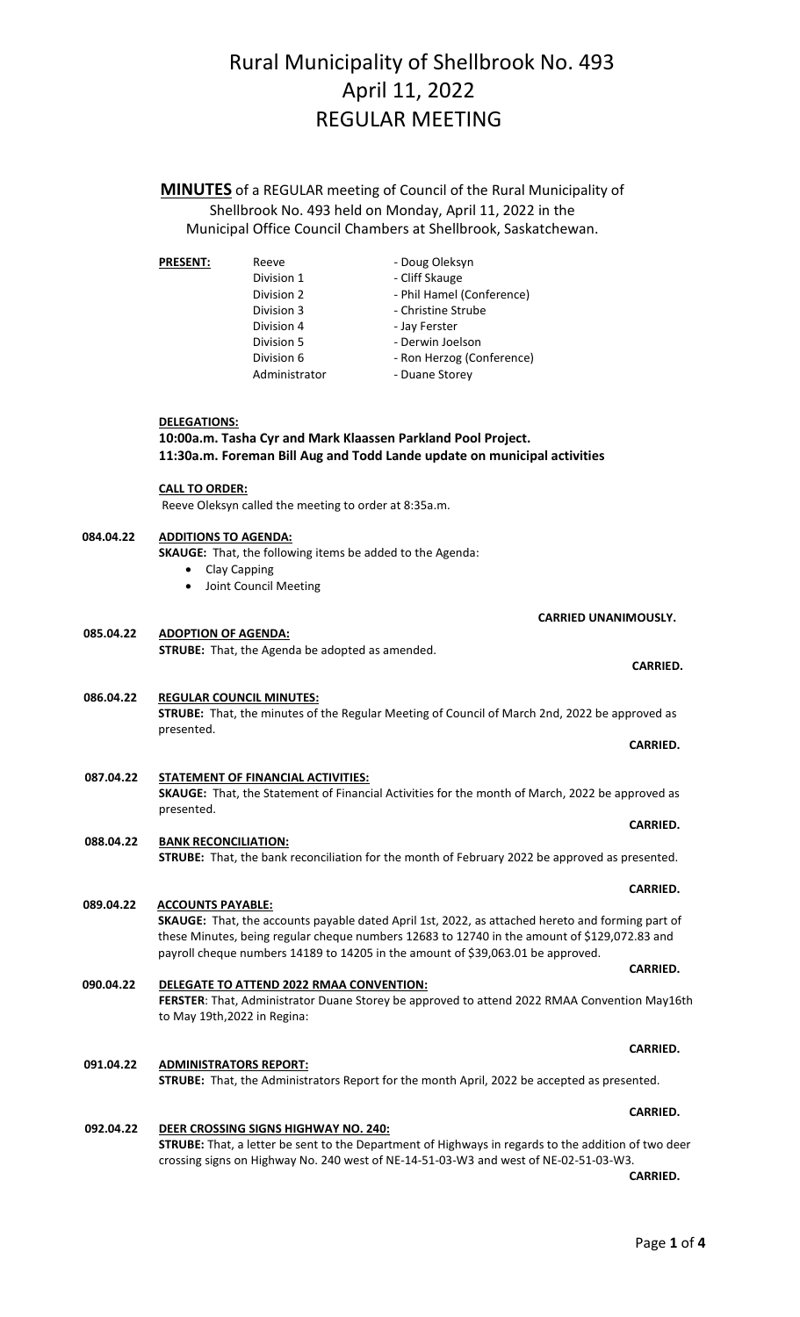**MINUTES** of a REGULAR meeting of Council of the Rural Municipality of Shellbrook No. 493 held on Monday, April 11, 2022 in the Municipal Office Council Chambers at Shellbrook, Saskatchewan.

| <b>PRESENT:</b> | Reeve         | - Doug Oleksyn            |
|-----------------|---------------|---------------------------|
|                 | Division 1    | - Cliff Skauge            |
|                 | Division 2    | - Phil Hamel (Conference) |
|                 | Division 3    | - Christine Strube        |
|                 | Division 4    | - Jay Ferster             |
|                 | Division 5    | - Derwin Joelson          |
|                 | Division 6    | - Ron Herzog (Conference) |
|                 | Administrator | - Duane Storey            |

## **10:00a.m. Tasha Cyr and Mark Klaassen Parkland Pool Project. DELEGATIONS: 11:30a.m. Foreman Bill Aug and Todd Lande update on municipal activities**

**CALL TO ORDER:**

Reeve Oleksyn called the meeting to order at 8:35a.m.

#### **084.04.22 ADDITIONS TO AGENDA:**

presented.

**ACCOUNTS PAYABLE:**

**SKAUGE:** That, the following items be added to the Agenda:

- Clay Capping
- Joint Council Meeting

 **CARRIED UNANIMOUSLY.**

**CARRIED.**

**CARRIED.** 

**CARRIED.**

**CARRIED.**

#### **085.04.22 STRUBE:** That, the Agenda be adopted as amended. **ADOPTION OF AGENDA:**

#### **086.04.22 STRUBE:** That, the minutes of the Regular Meeting of Council of March 2nd, 2022 be approved as presented. **REGULAR COUNCIL MINUTES:**

#### **087.04.22 SKAUGE:** That, the Statement of Financial Activities for the month of March, 2022 be approved as **STATEMENT OF FINANCIAL ACTIVITIES:**

#### **088.04.22 BANK RECONCILIATION:**

**STRUBE:** That, the bank reconciliation for the month of February 2022 be approved as presented.

- **089.04.22 SKAUGE:** That, the accounts payable dated April 1st, 2022, as attached hereto and forming part of these Minutes, being regular cheque numbers 12683 to 12740 in the amount of \$129,072.83 and payroll cheque numbers 14189 to 14205 in the amount of \$39,063.01 be approved. **CARRIED.**
- **090.04.22 FERSTER**: That, Administrator Duane Storey be approved to attend 2022 RMAA Convention May16th to May 19th,2022 in Regina: **DELEGATE TO ATTEND 2022 RMAA CONVENTION:**
- **091.04.22 ADMINISTRATORS REPORT: STRUBE:** That, the Administrators Report for the month April, 2022 be accepted as presented.

**092.04.22 STRUBE:** That, a letter be sent to the Department of Highways in regards to the addition of two deer crossing signs on Highway No. 240 west of NE-14-51-03-W3 and west of NE-02-51-03-W3. **DEER CROSSING SIGNS HIGHWAY NO. 240:**

**CARRIED. CARRIED.** 

**CARRIED.**

**CARRIED.**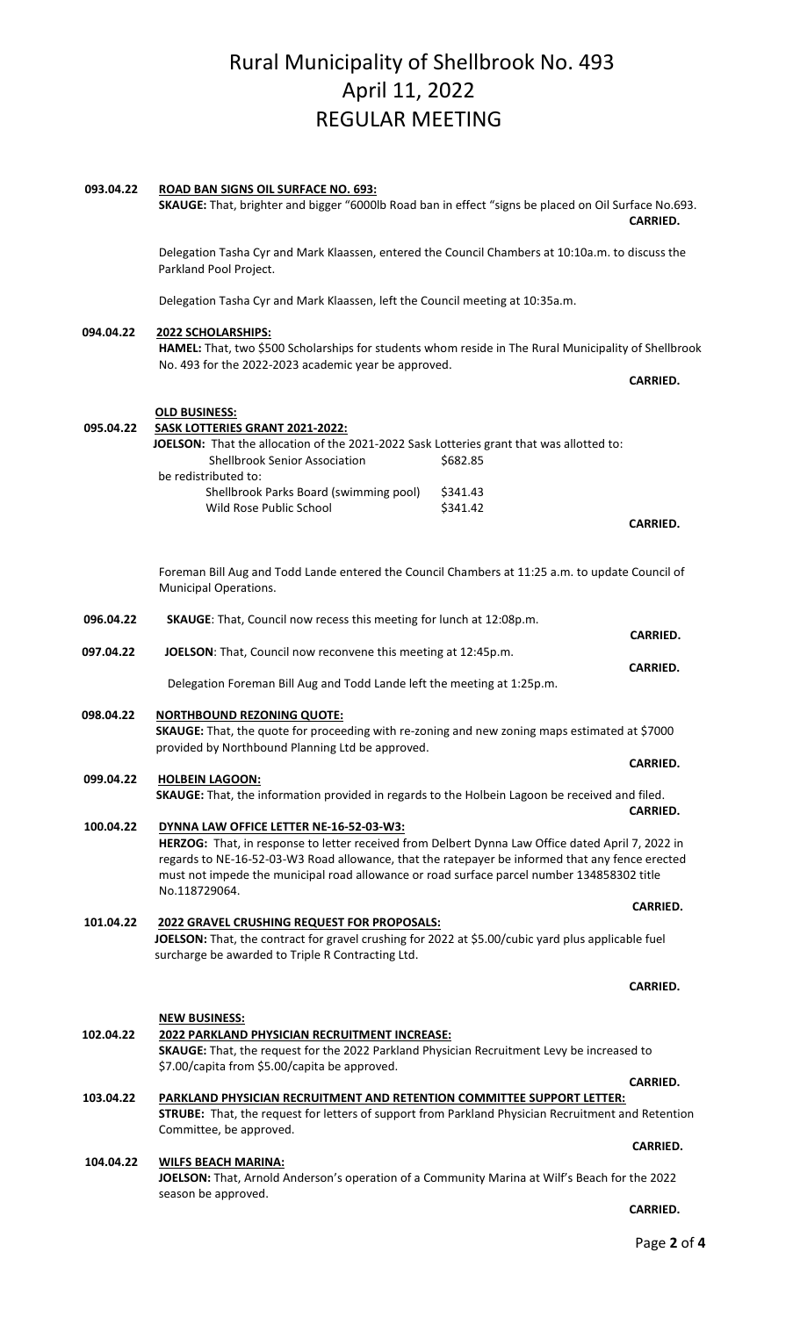| 093.04.22 | <b>ROAD BAN SIGNS OIL SURFACE NO. 693:</b><br>SKAUGE: That, brighter and bigger "6000lb Road ban in effect "signs be placed on Oil Surface No.693.                                                                                                                                                 |                      | <b>CARRIED.</b> |
|-----------|----------------------------------------------------------------------------------------------------------------------------------------------------------------------------------------------------------------------------------------------------------------------------------------------------|----------------------|-----------------|
|           | Delegation Tasha Cyr and Mark Klaassen, entered the Council Chambers at 10:10a.m. to discuss the<br>Parkland Pool Project.                                                                                                                                                                         |                      |                 |
|           | Delegation Tasha Cyr and Mark Klaassen, left the Council meeting at 10:35a.m.                                                                                                                                                                                                                      |                      |                 |
| 094.04.22 | 2022 SCHOLARSHIPS:                                                                                                                                                                                                                                                                                 |                      |                 |
|           | HAMEL: That, two \$500 Scholarships for students whom reside in The Rural Municipality of Shellbrook                                                                                                                                                                                               |                      |                 |
|           | No. 493 for the 2022-2023 academic year be approved.                                                                                                                                                                                                                                               |                      | <b>CARRIED.</b> |
|           | <b>OLD BUSINESS:</b>                                                                                                                                                                                                                                                                               |                      |                 |
| 095.04.22 | SASK LOTTERIES GRANT 2021-2022:                                                                                                                                                                                                                                                                    |                      |                 |
|           | JOELSON: That the allocation of the 2021-2022 Sask Lotteries grant that was allotted to:<br><b>Shellbrook Senior Association</b>                                                                                                                                                                   | \$682.85             |                 |
|           | be redistributed to:                                                                                                                                                                                                                                                                               |                      |                 |
|           | Shellbrook Parks Board (swimming pool)<br>Wild Rose Public School                                                                                                                                                                                                                                  | \$341.43<br>\$341.42 |                 |
|           |                                                                                                                                                                                                                                                                                                    |                      | <b>CARRIED.</b> |
|           |                                                                                                                                                                                                                                                                                                    |                      |                 |
|           | Foreman Bill Aug and Todd Lande entered the Council Chambers at 11:25 a.m. to update Council of<br>Municipal Operations.                                                                                                                                                                           |                      |                 |
| 096.04.22 | SKAUGE: That, Council now recess this meeting for lunch at 12:08p.m.                                                                                                                                                                                                                               |                      |                 |
| 097.04.22 | JOELSON: That, Council now reconvene this meeting at 12:45p.m.                                                                                                                                                                                                                                     |                      | <b>CARRIED.</b> |
|           | Delegation Foreman Bill Aug and Todd Lande left the meeting at 1:25p.m.                                                                                                                                                                                                                            |                      | <b>CARRIED.</b> |
|           |                                                                                                                                                                                                                                                                                                    |                      |                 |
| 098.04.22 | <b>NORTHBOUND REZONING QUOTE:</b><br>SKAUGE: That, the quote for proceeding with re-zoning and new zoning maps estimated at \$7000                                                                                                                                                                 |                      |                 |
|           | provided by Northbound Planning Ltd be approved.                                                                                                                                                                                                                                                   |                      | <b>CARRIED.</b> |
| 099.04.22 | <b>HOLBEIN LAGOON:</b>                                                                                                                                                                                                                                                                             |                      |                 |
|           | SKAUGE: That, the information provided in regards to the Holbein Lagoon be received and filed.                                                                                                                                                                                                     |                      | <b>CARRIED.</b> |
| 100.04.22 | DYNNA LAW OFFICE LETTER NE-16-52-03-W3:                                                                                                                                                                                                                                                            |                      |                 |
|           | HERZOG: That, in response to letter received from Delbert Dynna Law Office dated April 7, 2022 in<br>regards to NE-16-52-03-W3 Road allowance, that the ratepayer be informed that any fence erected<br>must not impede the municipal road allowance or road surface parcel number 134858302 title |                      |                 |
|           | No.118729064.                                                                                                                                                                                                                                                                                      |                      | <b>CARRIED.</b> |
| 101.04.22 | 2022 GRAVEL CRUSHING REQUEST FOR PROPOSALS:<br>JOELSON: That, the contract for gravel crushing for 2022 at \$5.00/cubic yard plus applicable fuel<br>surcharge be awarded to Triple R Contracting Ltd.                                                                                             |                      |                 |
|           |                                                                                                                                                                                                                                                                                                    |                      | <b>CARRIED.</b> |
|           |                                                                                                                                                                                                                                                                                                    |                      |                 |
|           | <b>NEW BUSINESS:</b>                                                                                                                                                                                                                                                                               |                      |                 |
| 102.04.22 | 2022 PARKLAND PHYSICIAN RECRUITMENT INCREASE:<br>SKAUGE: That, the request for the 2022 Parkland Physician Recruitment Levy be increased to                                                                                                                                                        |                      |                 |
|           | \$7.00/capita from \$5.00/capita be approved.                                                                                                                                                                                                                                                      |                      | <b>CARRIED.</b> |
| 103.04.22 | PARKLAND PHYSICIAN RECRUITMENT AND RETENTION COMMITTEE SUPPORT LETTER:<br><b>STRUBE:</b> That, the request for letters of support from Parkland Physician Recruitment and Retention<br>Committee, be approved.                                                                                     |                      |                 |
|           |                                                                                                                                                                                                                                                                                                    |                      | <b>CARRIED.</b> |
| 104.04.22 | <b>WILFS BEACH MARINA:</b><br>JOELSON: That, Arnold Anderson's operation of a Community Marina at Wilf's Beach for the 2022                                                                                                                                                                        |                      |                 |
|           | season be approved.                                                                                                                                                                                                                                                                                |                      | <b>CARRIED.</b> |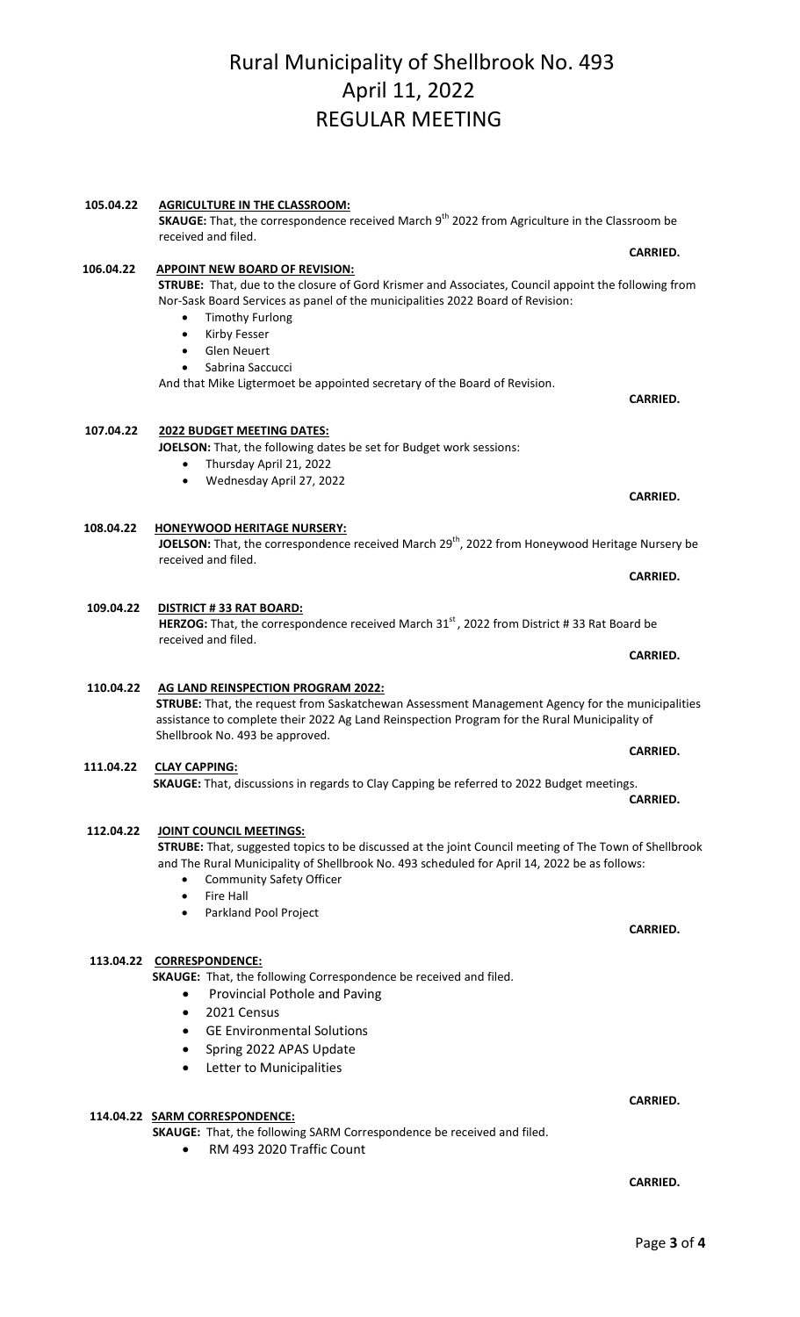#### **105.04.22 AGRICULTURE IN THE CLASSROOM:**

**SKAUGE:** That, the correspondence received March 9<sup>th</sup> 2022 from Agriculture in the Classroom be received and filed.

#### **106.04.22 APPOINT NEW BOARD OF REVISION:**

**STRUBE:** That, due to the closure of Gord Krismer and Associates, Council appoint the following from Nor-Sask Board Services as panel of the municipalities 2022 Board of Revision:

- Timothy Furlong
- Kirby Fesser
- Glen Neuert
- Sabrina Saccucci

And that Mike Ligtermoet be appointed secretary of the Board of Revision.

#### **107.04.22 2022 BUDGET MEETING DATES:**

**DISTRICT # 33 RAT BOARD:**

**JOELSON:** That, the following dates be set for Budget work sessions:

- Thursday April 21, 2022
- Wednesday April 27, 2022

#### **108.04.22**  JOELSON: That, the correspondence received March 29<sup>th</sup>, 2022 from Honeywood Heritage Nursery be received and filed. **HONEYWOOD HERITAGE NURSERY:**

**CARRIED. CARRIED.** 

HERZOG: That, the correspondence received March 31<sup>st</sup>, 2022 from District # 33 Rat Board be received and filed. **CARRIED. CARRIED.** 

## **STRUBE:** That, the request from Saskatchewan Assessment Management Agency for the municipalities assistance to complete their 2022 Ag Land Reinspection Program for the Rural Municipality of Shellbrook No. 493 be approved. **AG LAND REINSPECTION PROGRAM 2022:**

**111.04.22 SKAUGE:** That, discussions in regards to Clay Capping be referred to 2022 Budget meetings. **CLAY CAPPING: CARRIED.**

#### **112.04.22 JOINT COUNCIL MEETINGS:**

**109.04.22** 

 **110.04.22** 

**STRUBE:** That, suggested topics to be discussed at the joint Council meeting of The Town of Shellbrook and The Rural Municipality of Shellbrook No. 493 scheduled for April 14, 2022 be as follows:

- Community Safety Officer
- Fire Hall
- Parkland Pool Project

## **113.04.22 CORRESPONDENCE:**

**SKAUGE:** That, the following Correspondence be received and filed.

- Provincial Pothole and Paving
- 2021 Census
- GE Environmental Solutions
- Spring 2022 APAS Update
- Letter to Municipalities

## **114.04.22 SARM CORRESPONDENCE:**

**SKAUGE:** That, the following SARM Correspondence be received and filed.

• RM 493 2020 Traffic Count

## **CARRIED. CARRIED.**

**CARRIED.**

**CARRIED.**

### **CARRIED. CARRIED.**

**CARRIED. CARRIED.** 

**CARRIED.**

## **CARRIED.**